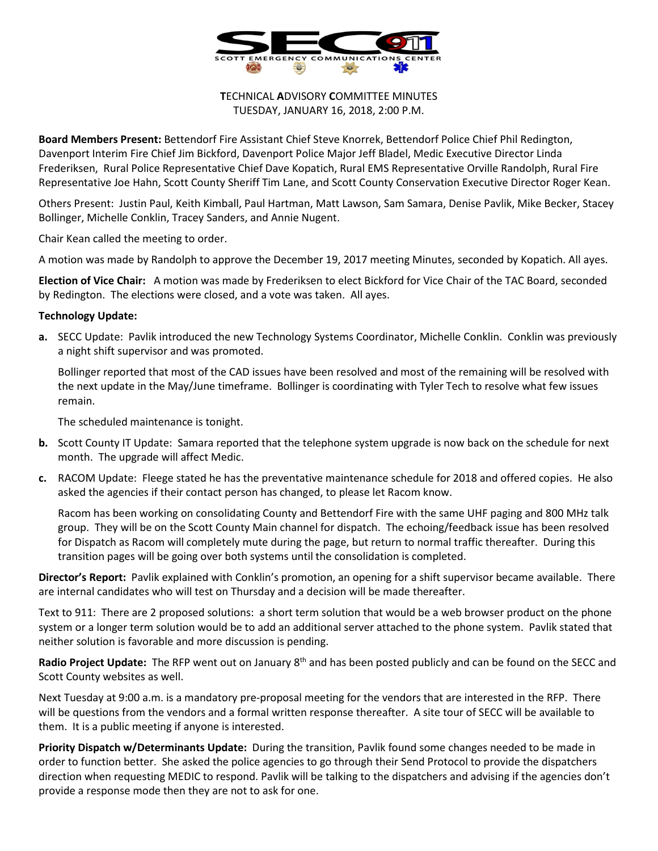

**T**ECHNICAL **A**DVISORY **C**OMMITTEE MINUTES TUESDAY, JANUARY 16, 2018, 2:00 P.M.

**Board Members Present:** Bettendorf Fire Assistant Chief Steve Knorrek, Bettendorf Police Chief Phil Redington, Davenport Interim Fire Chief Jim Bickford, Davenport Police Major Jeff Bladel, Medic Executive Director Linda Frederiksen, Rural Police Representative Chief Dave Kopatich, Rural EMS Representative Orville Randolph, Rural Fire Representative Joe Hahn, Scott County Sheriff Tim Lane, and Scott County Conservation Executive Director Roger Kean.

Others Present: Justin Paul, Keith Kimball, Paul Hartman, Matt Lawson, Sam Samara, Denise Pavlik, Mike Becker, Stacey Bollinger, Michelle Conklin, Tracey Sanders, and Annie Nugent.

Chair Kean called the meeting to order.

A motion was made by Randolph to approve the December 19, 2017 meeting Minutes, seconded by Kopatich. All ayes.

**Election of Vice Chair:** A motion was made by Frederiksen to elect Bickford for Vice Chair of the TAC Board, seconded by Redington. The elections were closed, and a vote was taken. All ayes.

## **Technology Update:**

**a.** SECC Update: Pavlik introduced the new Technology Systems Coordinator, Michelle Conklin. Conklin was previously a night shift supervisor and was promoted.

Bollinger reported that most of the CAD issues have been resolved and most of the remaining will be resolved with the next update in the May/June timeframe. Bollinger is coordinating with Tyler Tech to resolve what few issues remain.

The scheduled maintenance is tonight.

- **b.** Scott County IT Update: Samara reported that the telephone system upgrade is now back on the schedule for next month. The upgrade will affect Medic.
- **c.** RACOM Update: Fleege stated he has the preventative maintenance schedule for 2018 and offered copies. He also asked the agencies if their contact person has changed, to please let Racom know.

Racom has been working on consolidating County and Bettendorf Fire with the same UHF paging and 800 MHz talk group. They will be on the Scott County Main channel for dispatch. The echoing/feedback issue has been resolved for Dispatch as Racom will completely mute during the page, but return to normal traffic thereafter. During this transition pages will be going over both systems until the consolidation is completed.

**Director's Report:** Pavlik explained with Conklin's promotion, an opening for a shift supervisor became available. There are internal candidates who will test on Thursday and a decision will be made thereafter.

Text to 911: There are 2 proposed solutions: a short term solution that would be a web browser product on the phone system or a longer term solution would be to add an additional server attached to the phone system. Pavlik stated that neither solution is favorable and more discussion is pending.

**Radio Project Update:** The RFP went out on January 8th and has been posted publicly and can be found on the SECC and Scott County websites as well.

Next Tuesday at 9:00 a.m. is a mandatory pre-proposal meeting for the vendors that are interested in the RFP. There will be questions from the vendors and a formal written response thereafter. A site tour of SECC will be available to them. It is a public meeting if anyone is interested.

**Priority Dispatch w/Determinants Update:** During the transition, Pavlik found some changes needed to be made in order to function better. She asked the police agencies to go through their Send Protocol to provide the dispatchers direction when requesting MEDIC to respond. Pavlik will be talking to the dispatchers and advising if the agencies don't provide a response mode then they are not to ask for one.